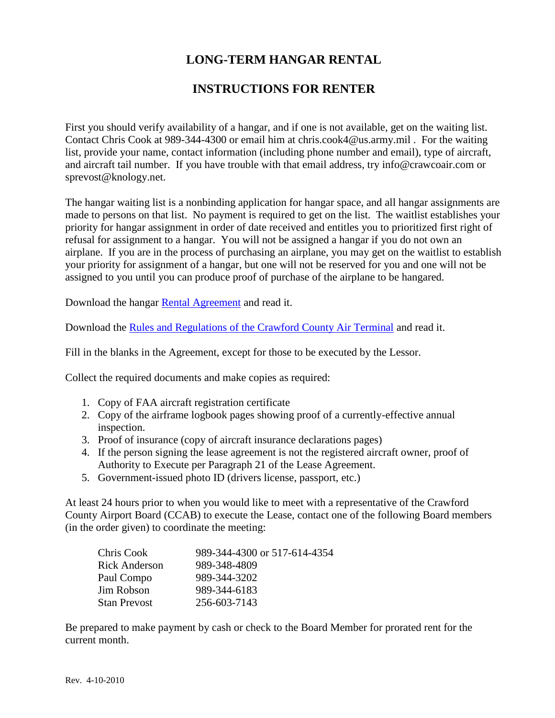## **LONG-TERM HANGAR RENTAL**

## **INSTRUCTIONS FOR RENTER**

First you should verify availability of a hangar, and if one is not available, get on the waiting list. Contact Chris Cook at 989-344-4300 or email him at chris.cook4@us.army.mil . For the waiting list, provide your name, contact information (including phone number and email), type of aircraft, and aircraft tail number. If you have trouble with that email address, try info@crawcoair.com or sprevost@knology.net.

The hangar waiting list is a nonbinding application for hangar space, and all hangar assignments are made to persons on that list. No payment is required to get on the list. The waitlist establishes your priority for hangar assignment in order of date received and entitles you to prioritized first right of refusal for assignment to a hangar. You will not be assigned a hangar if you do not own an airplane. If you are in the process of purchasing an airplane, you may get on the waitlist to establish your priority for assignment of a hangar, but one will not be reserved for you and one will not be assigned to you until you can produce proof of purchase of the airplane to be hangared.

Download the hangar [Rental Agreement](http://crawcoair.com/LinkClick.aspx?fileticket=shlqwkRTX0Q%3d&tabid=1812&mid=7039) and read it.

Download the [Rules and Regulations of the Crawford County Air Terminal](http://crawcoair.com/LinkClick.aspx?fileticket=kv0QHsSxC9c%3d&tabid=1812&mid=7039) and read it.

Fill in the blanks in the Agreement, except for those to be executed by the Lessor.

Collect the required documents and make copies as required:

- 1. Copy of FAA aircraft registration certificate
- 2. Copy of the airframe logbook pages showing proof of a currently-effective annual inspection.
- 3. Proof of insurance (copy of aircraft insurance declarations pages)
- 4. If the person signing the lease agreement is not the registered aircraft owner, proof of Authority to Execute per Paragraph 21 of the Lease Agreement.
- 5. Government-issued photo ID (drivers license, passport, etc.)

At least 24 hours prior to when you would like to meet with a representative of the Crawford County Airport Board (CCAB) to execute the Lease, contact one of the following Board members (in the order given) to coordinate the meeting:

| Chris Cook          | 989-344-4300 or 517-614-4354 |
|---------------------|------------------------------|
| Rick Anderson       | 989-348-4809                 |
| Paul Compo          | 989-344-3202                 |
| <b>Jim Robson</b>   | 989-344-6183                 |
| <b>Stan Prevost</b> | 256-603-7143                 |

Be prepared to make payment by cash or check to the Board Member for prorated rent for the current month.